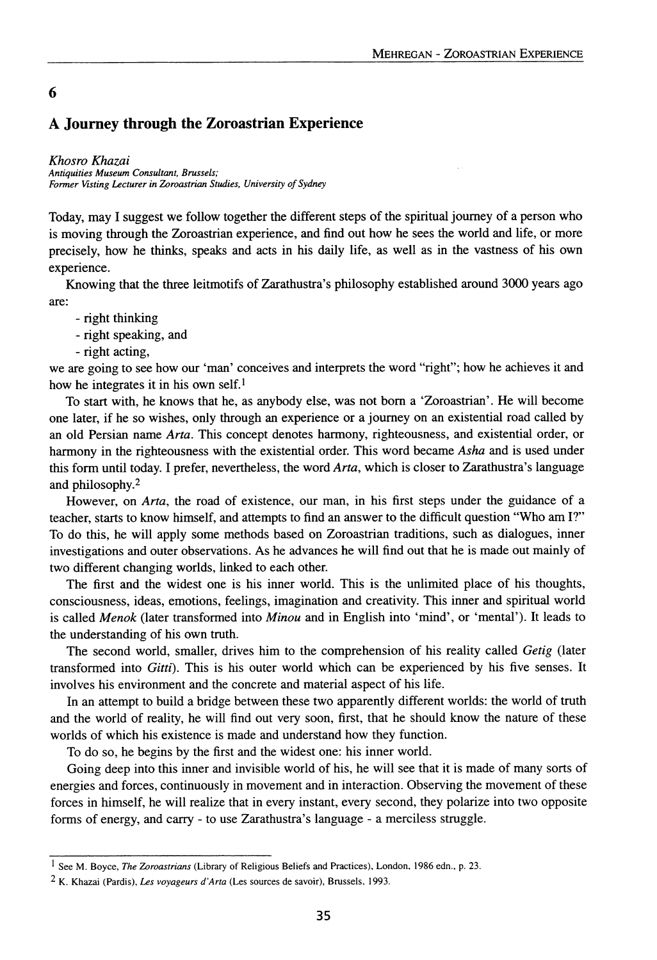## **A Journey through the Zoroastrian Experience**

*Khosro Khazai Antiquities Museum Consultant, Brussels; Former Visting Lecturer in Zoroastrian Studies, University ofSydney*

Today, may I suggest we follow together the different steps of the spiritual journey of a person who is moving through the Zoroastrian experience, and find out how he sees the world and life, or more precisely, how he thinks, speaks and acts in his daily life, as well as in the vastness of his own experience.

Knowing that the three leitmotifs of Zarathustra's philosophy established around 3000 years ago are:

- right thinking
- right speaking, and
- right acting,

6

we are going to see how our 'man' conceives and interprets the word "right"; how he achieves it and how he integrates it in his own self.<sup>1</sup>

To start with, he knows that he, as anybody else, was not born a 'Zoroastrian'. He will become one later, if he so wishes, only through an experience or a journey on an existential road called by an old Persian name *Arta.* This concept denotes harmony, righteousness, and existential order, or harmony in the righteousness with the existential order. This word became *Asha* and is used under this form until today. I prefer, nevertheless, the word *Arta,* which is closer to Zarathustra's language and philosophy.<sup>2</sup>

However, on *Arta,* the road of existence, our man, in his first steps under the guidance of a teacher, starts to know himself, and attempts to find an answer to the difficult question "Who am I?" To do this, he will apply some methods based on Zoroastrian traditions, such as dialogues, inner investigations and outer observations. As he advances he will find out that he is made out mainly of two different changing worlds, linked to each other.

The first and the widest one is his inner world. This is the unlimited place of his thoughts, consciousness, ideas, emotions, feelings, imagination and creativity. This inner and spiritual world is called *Menok* (later transformed into *Minou* and in English into 'mind', or 'mental'). It leads to the understanding of his own truth.

The second world, smaller, drives him to the comprehension of his reality called *Getig* (later transformed into *Gitti).* This is his outer world which can be experienced by his five senses. It involves his environment and the concrete and material aspect of his life.

In an attempt to build a bridge between these two apparently different worlds: the world of truth and the world of reality, he will find out very soon, first, that he should know the nature of these worlds of which his existence is made and understand how they function.

To do so, he begins by the first and the widest one: his inner world.

Going deep into this inner and invisible world of his, he will see that it is made of many sorts of energies and forces, continuously in movement and in interaction. Observing the movement of these forces in himself, he will realize that in every instant, every second, they polarize into two opposite forms of energy, and carry - to use Zarathustra's language - a merciless struggle.

<sup>1</sup> See M. Boyce, *The Zoroastrians* (Library of Religious Beliefs and Practices). London. 1986 edn., p. 23.

<sup>2</sup> K. Khazai (Pardis), *Les voyageurs d'Arta* (Les sources de savoir), Brussels, 1993.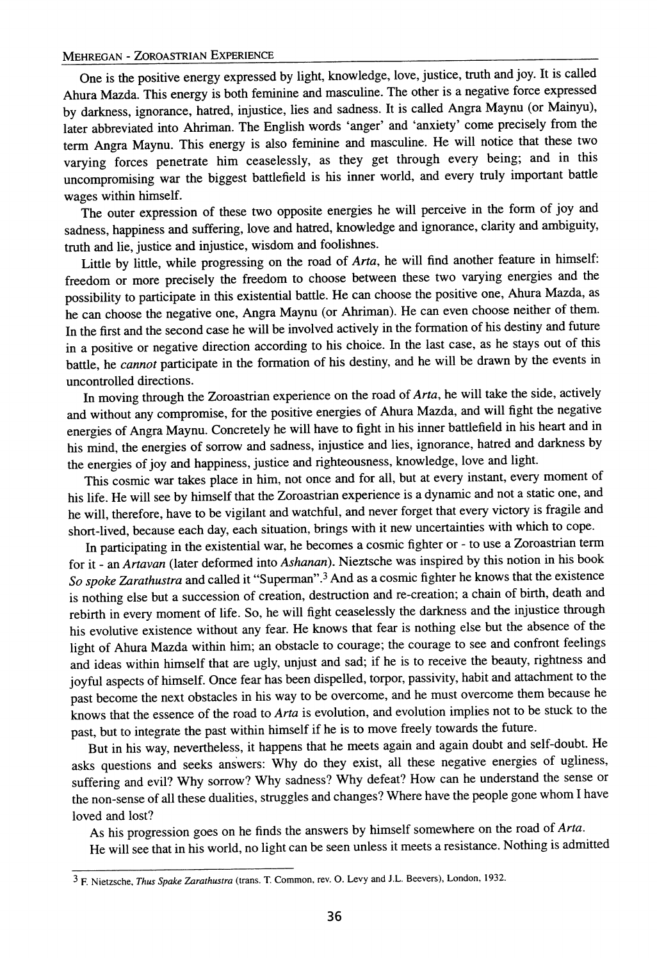## MEHREGAN - ZOROASTRIAN EXPERIENCE

One is the positive energy expressed by light, knowledge, love, justice, truth and joy. It is called Ahura Mazda. This energy is both feminine and masculine. The other is a negative force expressed by darkness, ignorance, hatred, injustice, lies and sadness. It is called Angra Maynu (or Mainyu), later abbreviated into Ahriman. The English words 'anger' and 'anxiety' come precisely from the term Angra Maynu. This energy is also feminine and masculine. He will notice that these two varying forces penetrate him ceaselessly, as they get through every being; and in this uncompromising war the biggest battlefield is his inner world, and every truly important battle wages within himself.

The outer expression of these two opposite energies he will perceive in the form of joy and sadness, happiness and suffering, love and hatred, knowledge and ignorance, clarity and ambiguity, truth and lie, justice and injustice, wisdom and foolishnes.

Little by little, while progressing on the road of *Arta,* he will find another feature in himself: freedom or more precisely the freedom to choose between these two varying energies and the possibility to participate in this existential battle. He can choose the positive one, Ahura Mazda, as he can choose the negative one, Angra Maynu (or Ahriman). He can even choose neither of them. In the first and the second case he will be involved actively in the formation of his destiny and future in a positive or negative direction according to his choice. In the last case, as he stays out of this battle, he *cannot* participate in the formation of his destiny, and he will be drawn by the events in uncontrolled directions.

In moving through the Zoroastrian experience on the road of *Arta,* he will take the side, actively and without any compromise, for the positive energies of Ahura Mazda, and will fight the negative energies of Angra Maynu. Concretely he will have to fight in his inner battlefield in his heart and in his mind, the energies of sorrow and sadness, injustice and lies, ignorance, hatred and darkness by the energies of joy and happiness, justice and righteousness, knowledge, love and light.

This cosmic war takes place in him, not once and for all, but at every instant, every moment of his life. He will see by himself that the Zoroastrian experience is a dynamic and not a static one, and he will, therefore, have to be vigilant and watchful, and never forget that every victory is fragile and short-lived, because each day, each situation, brings with it new uncertainties with which to cope.

In participating in the existential war, he becomes a cosmic fighter or - to use a Zoroastrian term for it - an *Artavan* (later deformed into *Ashanan).* Nieztsche was inspired by this notion in his book *So spoke Zarathustra* and called it "Superman".3And as a cosmic fighter he knows that the existence is nothing else but a succession of creation, destruction and re-creation; a chain of birth, death and rebirth in every moment of life. So, he will fight ceaselessly the darkness and the injustice through his evolutive existence without any fear. He knows that fear is nothing else but the absence of the light of Ahura Mazda within him; an obstacle to courage; the courage to see and confront feelings and ideas within himself that are ugly, unjust and sad; if he is to receive the beauty, rightness and joyful aspects of himself. Once fear has been dispelled, torpor, passivity, habit and attachment to the past become the next obstacles in his way to be overcome, and he must overcome them because he knows that the essence of the road to *Arta* is evolution, and evolution implies not to be stuck to the past, but to integrate the past within himself if he is to move freely towards the future.

But in his way, nevertheless, it happens that he meets again and again doubt and self-doubt. He asks questions and seeks answers: Why do they exist, all these negative energies of ugliness, suffering and evil? Why sorrow? Why sadness? Why defeat? How can he understand the sense or the non-sense of all these dualities, struggles and changes? Where have the people gone whom I have loved and lost?

As his progression goes on he finds the answers by himself somewhere on the road of *Arta.*

He will see that in his world, no light can be seen unless it meets a resistance. Nothing is admitted

<sup>3</sup> F. Nietzsche, *Thus Spake Zarathustra* (trans. T. Common, rev. O. Levy and lL. Beevers), London, 1932.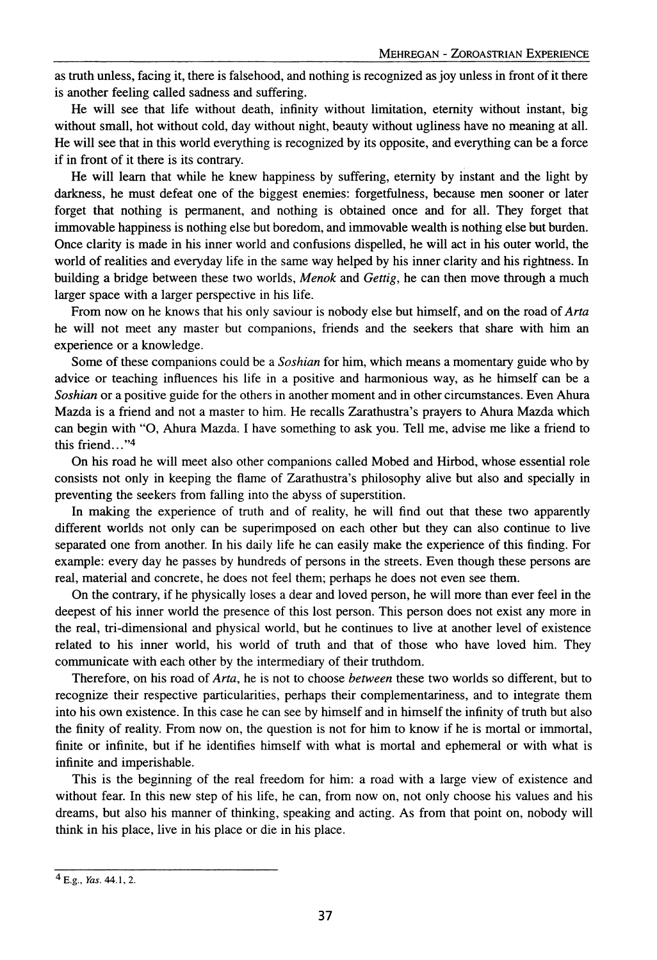as truth unless, facing it, there is falsehood, and nothing is recognized as joy unless in front of it there is another feeling called sadness and suffering.

He will see that life without death, infinity without limitation, eternity without instant, big without small, hot without cold, day without night, beauty without ugliness have no meaning at all. He will see that in this world everything is recognized by its opposite, and everything can be a force if in front of it there is its contrary.

He will learn that while he knew happiness by suffering, eternity by instant and the light by darkness, he must defeat one of the biggest enemies: forgetfulness, because men sooner or later forget that nothing is permanent, and nothing is obtained once and for all. They forget that immovable happiness is nothing else but boredom, and immovable wealth is nothing else but burden. Once clarity is made in his inner world and confusions dispelled, he will act in his outer world, the world of realities and everyday life in the same way helped by his inner clarity and his rightness. In building a bridge between these two worlds, *Menok* and *Gettig,* he can then move through a much larger space with a larger perspective in his life.

From now on he knows that his only saviour is nobody else but himself, and on the road of *Arta* he will not meet any master but companions, friends and the seekers that share with him an experience or a knowledge.

Some of these companions could be a *Soshian* for him, which means a momentary guide who by advice or teaching influences his life in a positive and harmonious way, as he himself can be a *Soshian* or a positive guide for the others in another moment and in other circumstances. Even Ahura Mazda is a friend and not a master to him. He recalls Zarathustra's prayers to Ahura Mazda which can begin with "0, Ahura Mazda. I have something to ask you. Tell me, advise me like a friend to this friend... "4

On his road he will meet also other companions called Mobed and Hirbod, whose essential role consists not only in keeping the flame of Zarathustra's philosophy alive but also and specially in preventing the seekers from falling into the abyss of superstition.

In making the experience of truth and of reality, he will find out that these two apparently different worlds not only can be superimposed on each other but they can also continue to live separated one from another. In his daily life he can easily make the experience of this finding. For example: every day he passes by hundreds of persons in the streets. Even though these persons are real, material and concrete, he does not feel them; perhaps he does not even see them.

On the contrary, if he physically loses a dear and loved person, he will more than ever feel in the deepest of his inner world the presence of this lost person. This person does not exist any more in the real, tri-dimensional and physical world, but he continues to live at another level of existence related to his inner world, his world of truth and that of those who have loved him. They communicate with each other by the intermediary of their truthdom.

Therefore, on his road of *Arta,* he is not to choose *between* these two worlds so different, but to recognize their respective particularities, perhaps their complementariness, and to integrate them into his own existence. In this case he can see by himself and in himself the infinity of truth but also the finity of reality. From now on, the question is not for him to know if he is mortal or immortal, finite or infinite, but if he identifies himself with what is mortal and ephemeral or with what is infinite and imperishable.

This is the beginning of the real freedom for him: a road with a large view of existence and without fear. In this new step of his life, he can, from now on, not only choose his values and his dreams, but also his manner of thinking, speaking and acting. As from that point on, nobody will think in his place, live in his place or die in his place.

<sup>4</sup> E.g., *Yas.* 44.1, 2.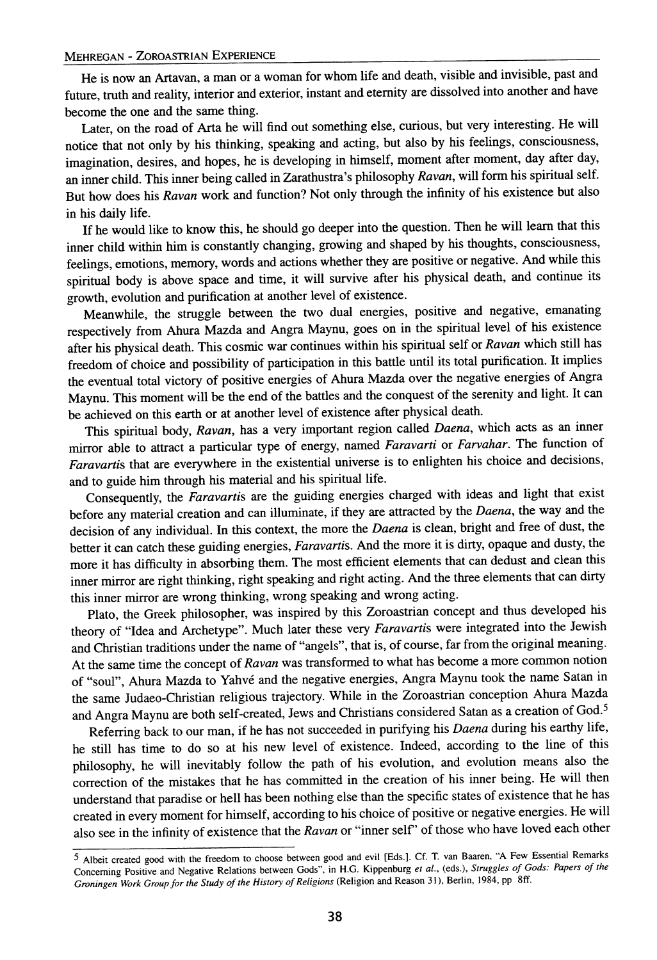He is now an Artavan, a man or a woman for whom life and death, visible and invisible, past and future, truth and reality, interior and exterior, instant and eternity are dissolved into another and have become the one and the same thing.

Later, on the road of Arta he will find out something else, curious, but very interesting. He will notice that not only by his thinking, speaking and acting, but also by his feelings, consciousness, imagination, desires, and hopes, he is developing in himself, moment after moment, day after day, an inner child. This inner being called in Zarathustra's philosophy *Ravan,* will form his spiritual self. But how does his *Ravan* work and function? Not only through the infinity of his existence but also in his daily life.

If he would like to know this, he should go deeper into the question. Then he will learn that this inner child within him is constantly changing, growing and shaped by his thoughts, consciousness, feelings, emotions, memory, words and actions whether they are positive or negative. And while this spiritual body is above space and time, it will survive after his physical death, and continue its growth, evolution and purification at another level of existence.

Meanwhile, the struggle between the two dual energies, positive and negative, emanating respectively from Ahura Mazda and Angra Maynu, goes on in the spiritual level of his existence after his physical death. This cosmic war continues within his spiritual self or *Ravan* which still has freedom of choice and possibility of participation in this battle until its total purification. It implies the eventual total victory of positive energies of Ahura Mazda over the negative energies of Angra Maynu. This moment will be the end of the battles and the conquest of the serenity and light. It can be achieved on this earth or at another level of existence after physical death.

This spiritual body, *Ravan,* has a very important region called *Daena,* which acts as an inner mirror able to attract a particular type of energy, named *Faravarti* or *Farvahar.* The function of *Faravartis* that are everywhere in the existential universe is to enlighten his choice and decisions, and to guide him through his material and his spiritual life.

Consequently, the *Faravartis* are the guiding energies charged with ideas and light that exist before any material creation and can illuminate, if they are attracted by the *Daena,* the way and the decision of any individual. In this context, the more the *Daena* is clean, bright and free of dust, the better it can catch these guiding energies, *Faravartis.* And the more it is dirty, opaque and dusty, the more it has difficulty in absorbing them. The most efficient elements that can dedust and clean this inner mirror are right thinking, right speaking and right acting. And the three elements that can dirty this inner mirror are wrong thinking, wrong speaking and wrong acting.

Plato, the Greek philosopher, was inspired by this Zoroastrian concept and thus developed his theory of "Idea and Archetype". Much later these very *Faravartis* were integrated into the Jewish and Christian traditions under the name of "angels", that is, of course, far from the original meaning. At the same time the concept of *Ravan* was transformed to what has become a more common notion of "soul", Ahura Mazda to Yahve and the negative energies, Angra Maynu took the name Satan in the same Judaeo-Christian religious trajectory. While in the Zoroastrian conception Ahura Mazda and Angra Maynu are both self-created, Jews and Christians considered Satan as a creation of God.5

Referring back to our man, if he has not succeeded in purifying his *Daena* during his earthy life, he still has time to do so at his new level of existence. Indeed, according to the line of this philosophy, he will inevitably follow the path of his evolution, and evolution means also the correction of the mistakes that he has committed in the creation of his inner being. He will then understand that paradise or hell has been nothing else than the specific states of existence that he has created in every moment for himself, according to his choice of positive or negative energies. He will also see in the infinity of existence that the *Ravan* or "inner self' of those who have loved each other

<sup>5</sup> Albeit created good with the freedom to choose between good and evil [Eds.]. cr. T. van Baaren, "A Few Essential Remarks Concerning Positive and Negative Relations between Gods", in H.G. Kippenburg *et aI.,* (eds.), *Struggles of Gods: Papers of the Groningen Work Group for the Study of the History ofReligions* (Religion and Reason 31), Berlin, 1984, pp 8ff.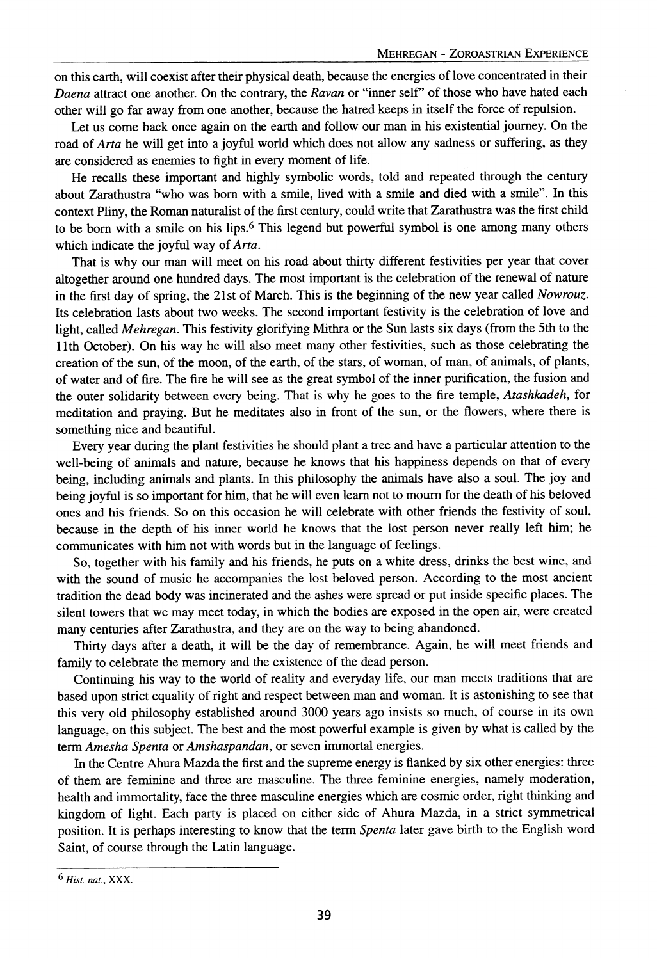on this earth, will coexist after their physical death, because the energies of love concentrated in their *Daena* attract one another. On the contrary, the *Ravan* or "inner self' of those who have hated each other will go far away from one another, because the hatred keeps in itself the force of repulsion.

Let us come back once again on the earth and follow our man in his existential journey. On the road of *Arta* he will get into a joyful world which does not allow any sadness or suffering, as they are considered as enemies to fight in every moment of life.

He recalls these important and highly symbolic words, told and repeated through the century about Zarathustra "who was born with a smile, lived with a smile and died with a smile". In this context Pliny, the Roman naturalist of the first century, could write that Zarathustra was the first child to be born with a smile on his lips.<sup>6</sup> This legend but powerful symbol is one among many others which indicate the joyful way of *Arta.*

That is why our man will meet on his road about thirty different festivities per year that cover altogether around one hundred days. The most important is the celebration of the renewal of nature in the first day of spring, the 21st of March. This is the beginning of the new year called *Nowrouz.* Its celebration lasts about two weeks. The second important festivity is the celebration of love and light, called *Mehregan.* This festivity glorifying Mithra or the Sun lasts six days (from the 5th to the 11th October). On his way he will also meet many other festivities, such as those celebrating the creation of the sun, of the moon, of the earth, of the stars, of woman, of man, of animals, of plants, of water and of fire. The fire he will see as the great symbol of the inner purification, the fusion and the outer solidarity between every being. That is why he goes to the fire temple, *Atashkadeh,* for meditation and praying. But he meditates also in front of the sun, or the flowers, where there is something nice and beautiful.

Every year during the plant festivities he should plant a tree and have a particular attention to the well-being of animals and nature, because he knows that his happiness depends on that of every being, including animals and plants. In this philosophy the animals have also a soul. The joy and being joyful is so important for him, that he will even learn not to mourn for the death of his beloved ones and his friends. So on this occasion he will celebrate with other friends the festivity of soul, because in the depth of his inner world he knows that the lost person never really left him; he communicates with him not with words but in the language of feelings.

So, together with his family and his friends, he puts on a white dress, drinks the best wine, and with the sound of music he accompanies the lost beloved person. According to the most ancient tradition the dead body was incinerated and the ashes were spread or put inside specific places. The silent towers that we may meet today, in which the bodies are exposed in the open air, were created many centuries after Zarathustra, and they are on the way to being abandoned.

Thirty days after a death, it will be the day of remembrance. Again, he will meet friends and family to celebrate the memory and the existence of the dead person.

Continuing his way to the world of reality and everyday life, our man meets traditions that are based upon strict equality of right and respect between man and woman. It is astonishing to see that this very old philosophy established around 3000 years ago insists so much, of course in its own language, on this subject. The best and the most powerful example is given by what is called by the term *Amesha Spenta* or *Amshaspandan,* or seven immortal energies.

In the Centre Ahura Mazda the first and the supreme energy is flanked by six other energies: three of them are feminine and three are masculine. The three feminine energies, namely moderation, health and immortality, face the three masculine energies which are cosmic order, right thinking and kingdom of light. Each party is placed on either side of Ahura Mazda, in a strict symmetrical position. It is perhaps interesting to know that the term *Spenta* later gave birth to the English word Saint, of course through the Latin language.

*<sup>6</sup> His!. nat.,* XXX.